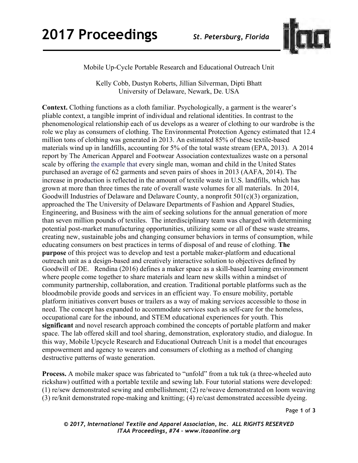

Mobile Up-Cycle Portable Research and Educational Outreach Unit

Kelly Cobb, Dustyn Roberts, Jillian Silverman, Dipti Bhatt University of Delaware, Newark, De. USA

**Context.** Clothing functions as a cloth familiar. Psychologically, a garment is the wearer's pliable context, a tangible imprint of individual and relational identities. In contrast to the phenomenological relationship each of us develops as a wearer of clothing to our wardrobe is the role we play as consumers of clothing. The Environmental Protection Agency estimated that 12.4 million tons of clothing was generated in 2013. An estimated 85% of these textile-based materials wind up in landfills, accounting for 5% of the total waste stream (EPA, 2013). A 2014 report by The American Apparel and Footwear Association contextualizes waste on a personal scale by offering the example that every single man, woman and child in the United States purchased an average of 62 garments and seven pairs of shoes in 2013 (AAFA, 2014). The increase in production is reflected in the amount of textile waste in U.S. landfills, which has grown at more than three times the rate of overall waste volumes for all materials. In 2014, Goodwill Industries of Delaware and Delaware County, a nonprofit 501(c)(3) organization, approached the The University of Delaware Departments of Fashion and Apparel Studies, Engineering, and Business with the aim of seeking solutions for the annual generation of more than seven million pounds of textiles. The interdisciplinary team was charged with determining potential post-market manufacturing opportunities, utilizing some or all of these waste streams, creating new, sustainable jobs and changing consumer behaviors in terms of consumption, while educating consumers on best practices in terms of disposal of and reuse of clothing. **The purpose** of this project was to develop and test a portable maker-platform and educational outreach unit as a design-based and creatively interactive solution to objectives defined by Goodwill of DE. Rendina (2016) defines a maker space as a skill-based learning environment where people come together to share materials and learn new skills within a mindset of community partnership, collaboration, and creation. Traditional portable platforms such as the bloodmobile provide goods and services in an efficient way. To ensure mobility, portable platform initiatives convert buses or trailers as a way of making services accessible to those in need. The concept has expanded to accommodate services such as self-care for the homeless, occupational care for the inbound, and STEM educational experiences for youth. This **significant** and novel research approach combined the concepts of portable platform and maker space. The lab offered skill and tool sharing, demonstration, exploratory studio, and dialogue. In this way, Mobile Upcycle Research and Educational Outreach Unit is a model that encourages empowerment and agency to wearers and consumers of clothing as a method of changing destructive patterns of waste generation.

**Process.** A mobile maker space was fabricated to "unfold" from a tuk tuk (a three-wheeled auto rickshaw) outfitted with a portable textile and sewing lab. Four tutorial stations were developed: (1) re/sew demonstrated sewing and embellishment; (2) re/weave demonstrated on loom weaving (3) re/knit demonstrated rope-making and knitting; (4) re/cast demonstrated accessible dyeing.

Page **1** of **3**

*© 2017, International Textile and Apparel Association, Inc. ALL RIGHTS RESERVED ITAA Proceedings, #74 – www.itaaonline.org*